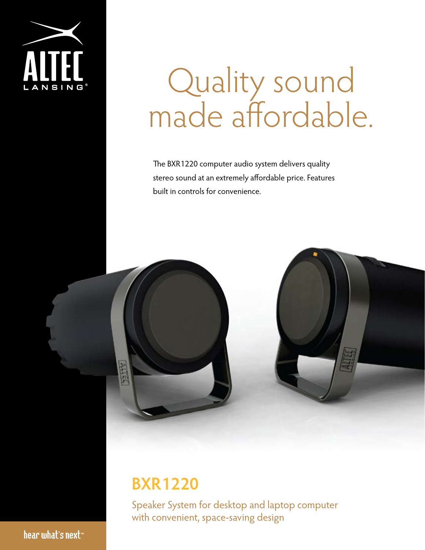

# Quality sound made affordable.

The BXR1220 computer audio system delivers quality stereo sound at an extremely affordable price. Features built in controls for convenience.



## **BXR1220**

Speaker System for desktop and laptop computer with convenient, space-saving design

hear what's next<sup>\*</sup>